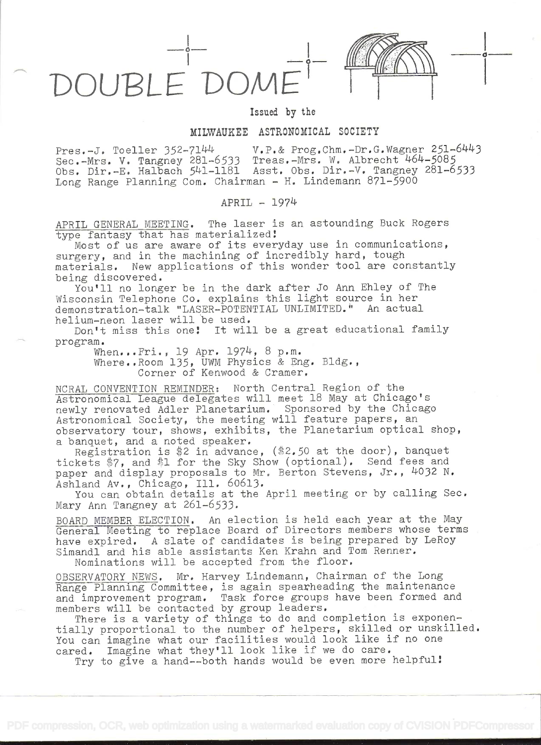

## Issued by the

## MILWAUKEE ASTRONOMICAL SOCIETY

Pres.-J. Toeller 352-7144 V.P.& Prog.Chm.-Dr.G.Wagner 251-6443 Sec.-Mrs. V. Tangney 281-6533 Treas.-Mrs. W. Albrecht 464-5085 Obs. Dir.-E. Halbach 541-1181 Asst. Obs. Dir.-V. Tangney 281-6533 Long Range Planning Com. Chairman - H. Lindemann 871-5900

## APRIL - 1974

APRIL GENERAL MEETING. The laser is an astounding Buck Rogers type fantasy that has materialized!

Most of us are aware of its everyday use in communications, surgery, and in the machining of incredibly hard, tough materials. New applications of this wonder tool are constantly being discovered.

You'll no longer be in the dark after Jo Ann Ehley of The Wisconsin Telephone Co. explains this light source in her demonstration-talk "LASER-POTENTIAL UNLIMITED." An actual helium-neon laser will be used.

Don't miss this one! It will be a great educational family program.

> When...Fri.., 19 Apr. 1974, 8 p.m. Where..Room 135, UWM Physics & Eng. Bldg., Corner of Kenwood & Cramer.

NCRAL CONVENTION REMINDER: North Central Region of the Astronomical League delegates will meet 18 May at Chicago's newly renovated Adler Planetarium. Sponsored by the Chicago Astronomical Society, the meeting will feature papers, an observatory tour, shows, exhibits, the Planetarium optical shop, a banquet, and a noted speaker.

Registration is \$2 in advance,  $(*2.50$  at the door), banquet tickets \$7, and \$1 for the Sky Show (optional). Send fees and paper and display proposals to Mr. Berton Stevens, Jr., 4032 N. Ashland Av., Chicago, Ill. 60613.

You can obtain details at the April meeting or by calling Sec, Mary Ann Tangney at 261-6533.

BOARD MEMBER ELECTION. An election is held each year at the May General Meeting to replace Board of Directors members whose terms have expired. A slate of candidates is being prepared by LeRoy Simandi and his able assistants Ken Krahn and Tom Renner.

Nominations will be accepted from the floor.

OBSERVATORY NEWS, Mr. Harvey Lindemann, Chairman of the Long Range Planning Committee, is again spearheading the maintenance and improvement program. Task force groups have been formed and members will be contacted by group leaders.

There is a variety of things to do and completion is exponentially proportional to the number of helpers, skilled or unskilled. You can imagine what our facilities would look like if no one cared. Imagine what they'll look like if we do care,

Try to give a hand--both hands would be even more helpful